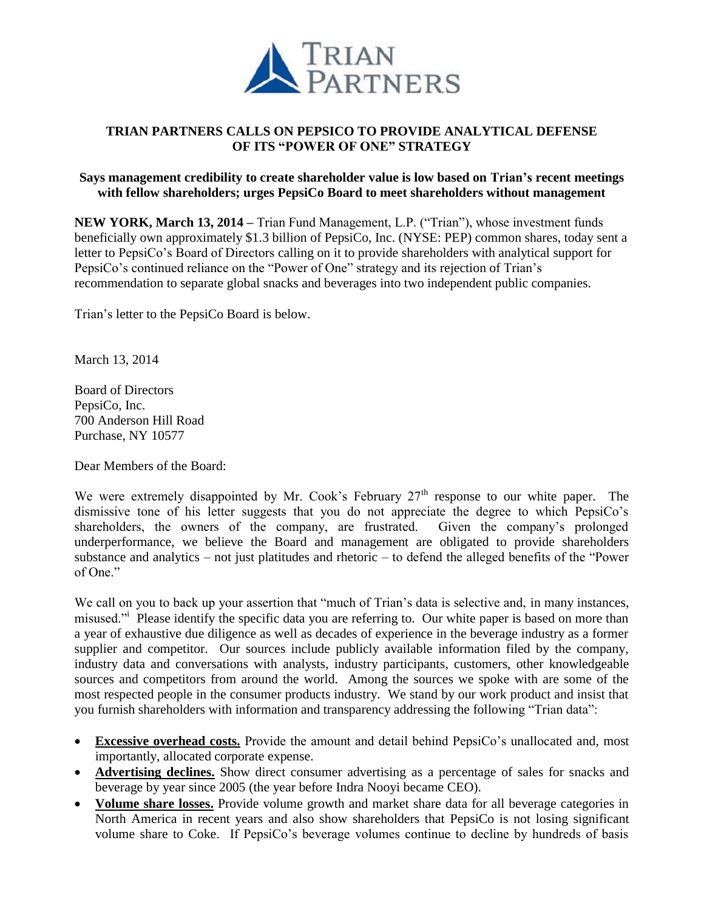

# **TRIAN PARTNERS CALLS ON PEPSICO TO PROVIDE ANALYTICAL DEFENSE OF ITS "POWER OF ONE" STRATEGY**

#### **Says management credibility to create shareholder value is low based on Trian's recent meetings with fellow shareholders; urges PepsiCo Board to meet shareholders without management**

**NEW YORK, March 13, 2014 –** Trian Fund Management, L.P. ("Trian"), whose investment funds beneficially own approximately \$1.3 billion of PepsiCo, Inc. (NYSE: PEP) common shares, today sent a letter to PepsiCo's Board of Directors calling on it to provide shareholders with analytical support for PepsiCo's continued reliance on the "Power of One" strategy and its rejection of Trian's recommendation to separate global snacks and beverages into two independent public companies.

Trian's letter to the PepsiCo Board is below.

March 13, 2014

Board of Directors PepsiCo, Inc. 700 Anderson Hill Road Purchase, NY 10577

Dear Members of the Board:

We were extremely disappointed by Mr. Cook's February  $27<sup>th</sup>$  response to our white paper. The dismissive tone of his letter suggests that you do not appreciate the degree to which PepsiCo's shareholders, the owners of the company, are frustrated. Given the company's prolonged underperformance, we believe the Board and management are obligated to provide shareholders substance and analytics – not just platitudes and rhetoric – to defend the alleged benefits of the "Power of One."

We call on you to back up your assertion that "much of Trian's data is selective and, in many instances, misused."<sup>i</sup> Please identify the specific data you are referring to. Our white paper is based on more than a year of exhaustive due diligence as well as decades of experience in the beverage industry as a former supplier and competitor. Our sources include publicly available information filed by the company, industry data and conversations with analysts, industry participants, customers, other knowledgeable sources and competitors from around the world. Among the sources we spoke with are some of the most respected people in the consumer products industry. We stand by our work product and insist that you furnish shareholders with information and transparency addressing the following "Trian data":

- **Excessive overhead costs.** Provide the amount and detail behind PepsiCo's unallocated and, most importantly, allocated corporate expense.
- **Advertising declines.** Show direct consumer advertising as a percentage of sales for snacks and beverage by year since 2005 (the year before Indra Nooyi became CEO).
- **Volume share losses.** Provide volume growth and market share data for all beverage categories in North America in recent years and also show shareholders that PepsiCo is not losing significant volume share to Coke. If PepsiCo's beverage volumes continue to decline by hundreds of basis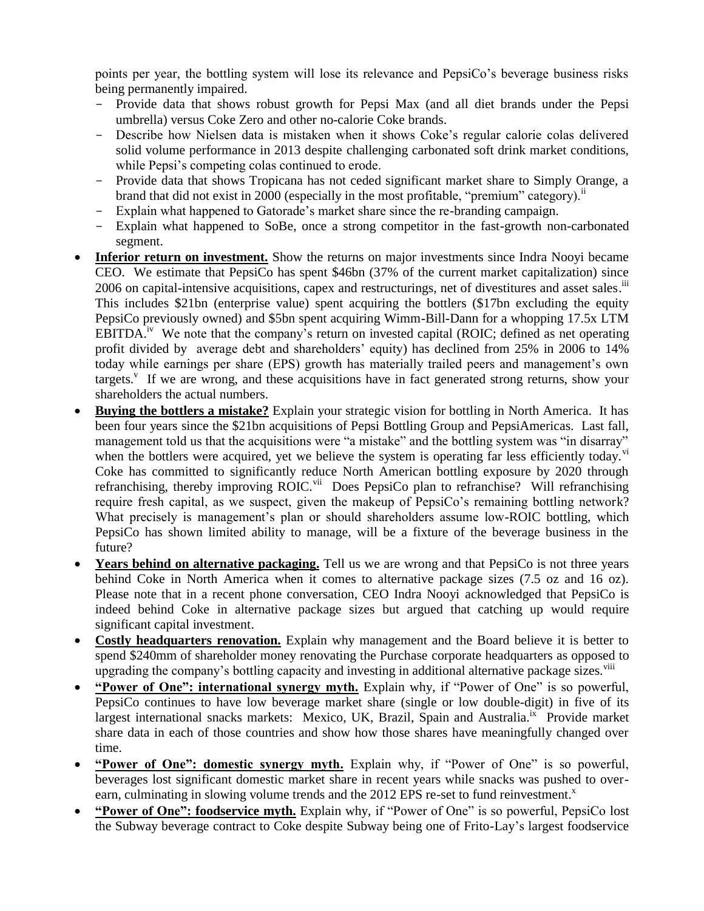points per year, the bottling system will lose its relevance and PepsiCo's beverage business risks being permanently impaired.

- Provide data that shows robust growth for Pepsi Max (and all diet brands under the Pepsi umbrella) versus Coke Zero and other no-calorie Coke brands.
- Describe how Nielsen data is mistaken when it shows Coke's regular calorie colas delivered solid volume performance in 2013 despite challenging carbonated soft drink market conditions, while Pepsi's competing colas continued to erode.
- Provide data that shows Tropicana has not ceded significant market share to Simply Orange, a brand that did not exist in 2000 (especially in the most profitable, "premium" category).<sup> $\ddot{}}$ </sup>
- Explain what happened to Gatorade's market share since the re-branding campaign.
- Explain what happened to SoBe, once a strong competitor in the fast-growth non-carbonated segment.
- **Inferior return on investment.** Show the returns on major investments since Indra Noovi became CEO. We estimate that PepsiCo has spent \$46bn (37% of the current market capitalization) since 2006 on capital-intensive acquisitions, capex and restructurings, net of divestitures and asset sales.<sup>iii</sup> This includes \$21bn (enterprise value) spent acquiring the bottlers (\$17bn excluding the equity PepsiCo previously owned) and \$5bn spent acquiring Wimm-Bill-Dann for a whopping 17.5x LTM EBITDA.<sup>iv</sup> We note that the company's return on invested capital (ROIC; defined as net operating profit divided by average debt and shareholders' equity) has declined from 25% in 2006 to 14% today while earnings per share (EPS) growth has materially trailed peers and management's own targets.<sup>v</sup> If we are wrong, and these acquisitions have in fact generated strong returns, show your shareholders the actual numbers.
- **Buying the bottlers a mistake?** Explain your strategic vision for bottling in North America. It has been four years since the \$21bn acquisitions of Pepsi Bottling Group and PepsiAmericas. Last fall, management told us that the acquisitions were "a mistake" and the bottling system was "in disarray" when the bottlers were acquired, yet we believe the system is operating far less efficiently today.<sup>vi</sup> Coke has committed to significantly reduce North American bottling exposure by 2020 through refranchising, thereby improving ROIC.<sup>vii</sup> Does PepsiCo plan to refranchise? Will refranchising require fresh capital, as we suspect, given the makeup of PepsiCo's remaining bottling network? What precisely is management's plan or should shareholders assume low-ROIC bottling, which PepsiCo has shown limited ability to manage, will be a fixture of the beverage business in the future?
- **Years behind on alternative packaging.** Tell us we are wrong and that PepsiCo is not three years behind Coke in North America when it comes to alternative package sizes (7.5 oz and 16 oz). Please note that in a recent phone conversation, CEO Indra Nooyi acknowledged that PepsiCo is indeed behind Coke in alternative package sizes but argued that catching up would require significant capital investment.
- **Costly headquarters renovation.** Explain why management and the Board believe it is better to spend \$240mm of shareholder money renovating the Purchase corporate headquarters as opposed to upgrading the company's bottling capacity and investing in additional alternative package sizes.<sup>viii</sup>
- **"Power of One": international synergy myth.** Explain why, if "Power of One" is so powerful, PepsiCo continues to have low beverage market share (single or low double-digit) in five of its largest international snacks markets: Mexico, UK, Brazil, Spain and Australia.<sup>ix</sup> Provide market share data in each of those countries and show how those shares have meaningfully changed over time.
- **"Power of One": domestic synergy myth.** Explain why, if "Power of One" is so powerful, beverages lost significant domestic market share in recent years while snacks was pushed to overearn, culminating in slowing volume trends and the  $2012$  EPS re-set to fund reinvestment.<sup>x</sup>
- **"Power of One": foodservice myth.** Explain why, if "Power of One" is so powerful, PepsiCo lost the Subway beverage contract to Coke despite Subway being one of Frito-Lay's largest foodservice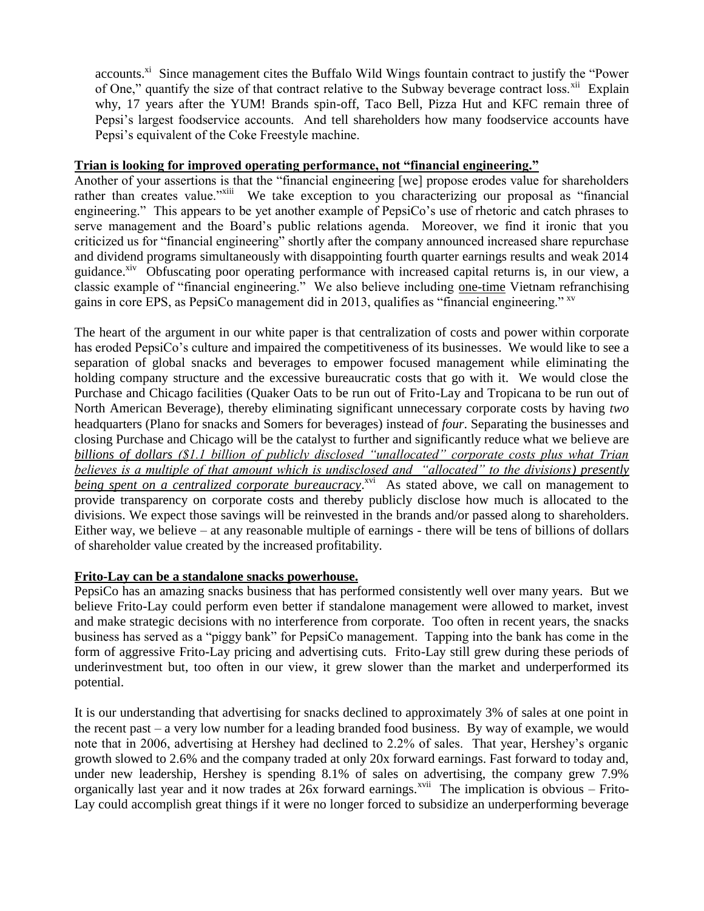accounts.<sup>xi</sup> Since management cites the Buffalo Wild Wings fountain contract to justify the "Power of One," quantify the size of that contract relative to the Subway beverage contract loss.<sup>xii</sup> Explain why, 17 years after the YUM! Brands spin-off, Taco Bell, Pizza Hut and KFC remain three of Pepsi's largest foodservice accounts. And tell shareholders how many foodservice accounts have Pepsi's equivalent of the Coke Freestyle machine.

## **Trian is looking for improved operating performance, not "financial engineering."**

Another of your assertions is that the "financial engineering [we] propose erodes value for shareholders rather than creates value."<sup>xiii</sup> We take exception to you characterizing our proposal as "financial engineering." This appears to be yet another example of PepsiCo's use of rhetoric and catch phrases to serve management and the Board's public relations agenda. Moreover, we find it ironic that you criticized us for "financial engineering" shortly after the company announced increased share repurchase and dividend programs simultaneously with disappointing fourth quarter earnings results and weak 2014 guidance.<sup>xiv</sup> Obfuscating poor operating performance with increased capital returns is, in our view, a classic example of "financial engineering." We also believe including one-time Vietnam refranchising gains in core EPS, as PepsiCo management did in 2013, qualifies as "financial engineering." <sup>xv</sup>

The heart of the argument in our white paper is that centralization of costs and power within corporate has eroded PepsiCo's culture and impaired the competitiveness of its businesses. We would like to see a separation of global snacks and beverages to empower focused management while eliminating the holding company structure and the excessive bureaucratic costs that go with it. We would close the Purchase and Chicago facilities (Quaker Oats to be run out of Frito-Lay and Tropicana to be run out of North American Beverage), thereby eliminating significant unnecessary corporate costs by having *two* headquarters (Plano for snacks and Somers for beverages) instead of *four*. Separating the businesses and closing Purchase and Chicago will be the catalyst to further and significantly reduce what we believe are *billions of dollars (\$1.1 billion of publicly disclosed "unallocated" corporate costs plus what Trian believes is a multiple of that amount which is undisclosed and "allocated" to the divisions) presently*  being spent on a centralized corporate bureaucracy.<sup>xvi</sup> As stated above, we call on management to provide transparency on corporate costs and thereby publicly disclose how much is allocated to the divisions. We expect those savings will be reinvested in the brands and/or passed along to shareholders. Either way, we believe – at any reasonable multiple of earnings - there will be tens of billions of dollars of shareholder value created by the increased profitability.

# **Frito-Lay can be a standalone snacks powerhouse.**

PepsiCo has an amazing snacks business that has performed consistently well over many years. But we believe Frito-Lay could perform even better if standalone management were allowed to market, invest and make strategic decisions with no interference from corporate. Too often in recent years, the snacks business has served as a "piggy bank" for PepsiCo management. Tapping into the bank has come in the form of aggressive Frito-Lay pricing and advertising cuts. Frito-Lay still grew during these periods of underinvestment but, too often in our view, it grew slower than the market and underperformed its potential.

It is our understanding that advertising for snacks declined to approximately 3% of sales at one point in the recent past – a very low number for a leading branded food business. By way of example, we would note that in 2006, advertising at Hershey had declined to 2.2% of sales. That year, Hershey's organic growth slowed to 2.6% and the company traded at only 20x forward earnings. Fast forward to today and, under new leadership, Hershey is spending 8.1% of sales on advertising, the company grew 7.9% organically last year and it now trades at 26x forward earnings.<sup>xvii</sup> The implication is obvious – Frito-Lay could accomplish great things if it were no longer forced to subsidize an underperforming beverage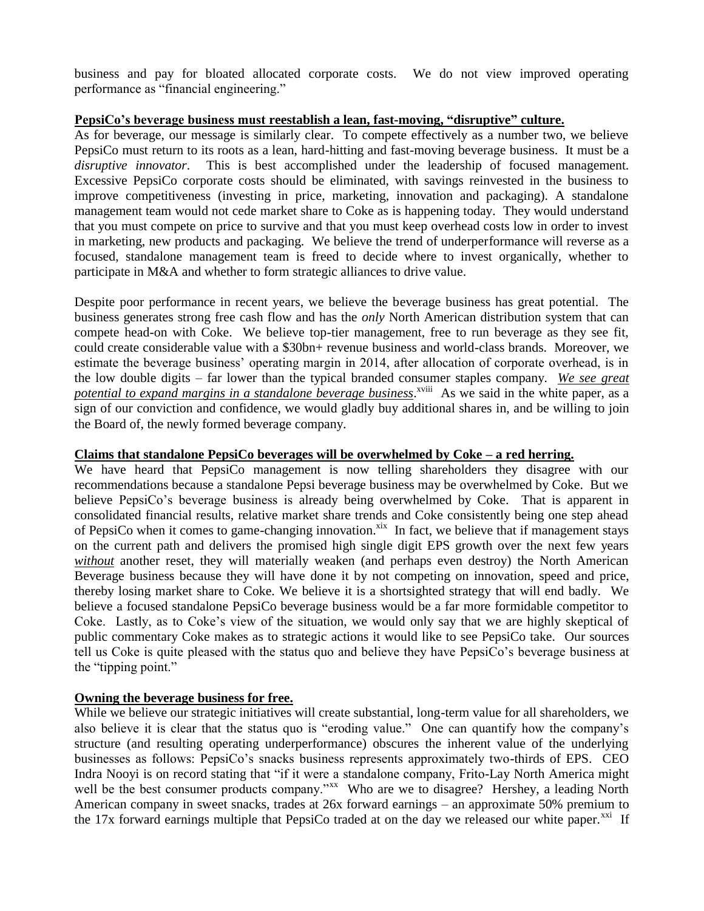business and pay for bloated allocated corporate costs. We do not view improved operating performance as "financial engineering."

#### **PepsiCo's beverage business must reestablish a lean, fast-moving, "disruptive" culture.**

As for beverage, our message is similarly clear. To compete effectively as a number two, we believe PepsiCo must return to its roots as a lean, hard-hitting and fast-moving beverage business. It must be a *disruptive innovator*. This is best accomplished under the leadership of focused management. Excessive PepsiCo corporate costs should be eliminated, with savings reinvested in the business to improve competitiveness (investing in price, marketing, innovation and packaging). A standalone management team would not cede market share to Coke as is happening today. They would understand that you must compete on price to survive and that you must keep overhead costs low in order to invest in marketing, new products and packaging. We believe the trend of underperformance will reverse as a focused, standalone management team is freed to decide where to invest organically, whether to participate in M&A and whether to form strategic alliances to drive value.

Despite poor performance in recent years, we believe the beverage business has great potential. The business generates strong free cash flow and has the *only* North American distribution system that can compete head-on with Coke. We believe top-tier management, free to run beverage as they see fit, could create considerable value with a \$30bn+ revenue business and world-class brands. Moreover, we estimate the beverage business' operating margin in 2014, after allocation of corporate overhead, is in the low double digits – far lower than the typical branded consumer staples company. *We see great*  potential to expand margins in a standalone beverage business.<sup>xviii</sup> As we said in the white paper, as a sign of our conviction and confidence, we would gladly buy additional shares in, and be willing to join the Board of, the newly formed beverage company.

### **Claims that standalone PepsiCo beverages will be overwhelmed by Coke – a red herring.**

We have heard that PepsiCo management is now telling shareholders they disagree with our recommendations because a standalone Pepsi beverage business may be overwhelmed by Coke. But we believe PepsiCo's beverage business is already being overwhelmed by Coke. That is apparent in consolidated financial results, relative market share trends and Coke consistently being one step ahead of PepsiCo when it comes to game-changing innovation.<sup>xix</sup> In fact, we believe that if management stays on the current path and delivers the promised high single digit EPS growth over the next few years *without* another reset, they will materially weaken (and perhaps even destroy) the North American Beverage business because they will have done it by not competing on innovation, speed and price, thereby losing market share to Coke. We believe it is a shortsighted strategy that will end badly. We believe a focused standalone PepsiCo beverage business would be a far more formidable competitor to Coke. Lastly, as to Coke's view of the situation, we would only say that we are highly skeptical of public commentary Coke makes as to strategic actions it would like to see PepsiCo take. Our sources tell us Coke is quite pleased with the status quo and believe they have PepsiCo's beverage business at the "tipping point."

# **Owning the beverage business for free.**

While we believe our strategic initiatives will create substantial, long-term value for all shareholders, we also believe it is clear that the status quo is "eroding value." One can quantify how the company's structure (and resulting operating underperformance) obscures the inherent value of the underlying businesses as follows: PepsiCo's snacks business represents approximately two-thirds of EPS. CEO Indra Nooyi is on record stating that "if it were a standalone company, Frito-Lay North America might well be the best consumer products company."<sup>xx</sup> Who are we to disagree? Hershey, a leading North American company in sweet snacks, trades at 26x forward earnings – an approximate 50% premium to the 17x forward earnings multiple that PepsiCo traded at on the day we released our white paper.<sup>xxi</sup> If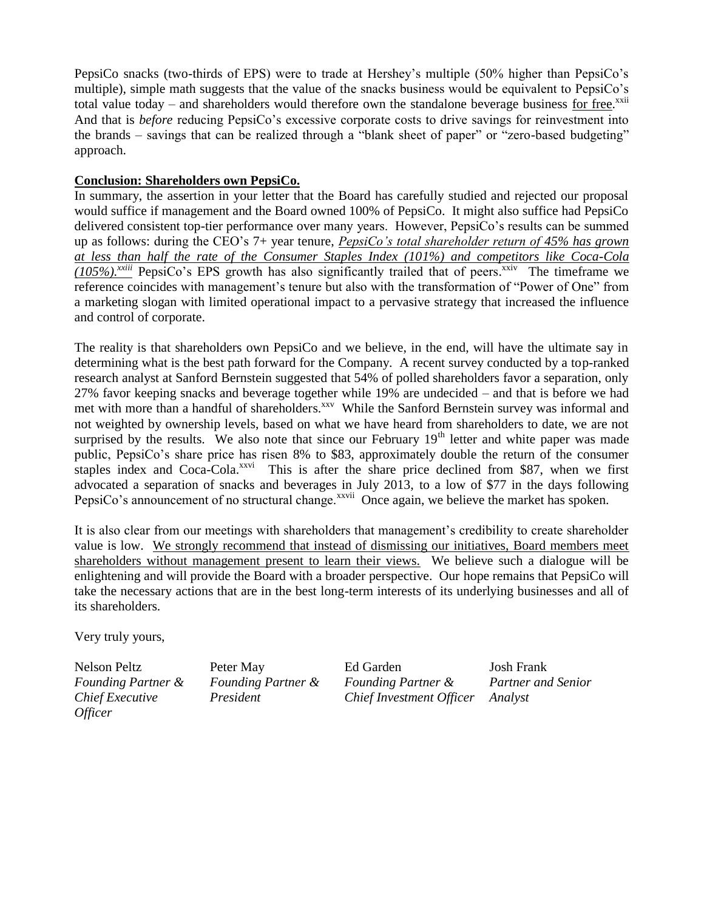PepsiCo snacks (two-thirds of EPS) were to trade at Hershey's multiple (50% higher than PepsiCo's multiple), simple math suggests that the value of the snacks business would be equivalent to PepsiCo's total value today – and shareholders would therefore own the standalone beverage business for free.<sup>xxii</sup> And that is *before* reducing PepsiCo's excessive corporate costs to drive savings for reinvestment into the brands – savings that can be realized through a "blank sheet of paper" or "zero-based budgeting" approach.

# **Conclusion: Shareholders own PepsiCo.**

In summary, the assertion in your letter that the Board has carefully studied and rejected our proposal would suffice if management and the Board owned 100% of PepsiCo. It might also suffice had PepsiCo delivered consistent top-tier performance over many years. However, PepsiCo's results can be summed up as follows: during the CEO's 7+ year tenure, *PepsiCo's total shareholder return of 45% has grown at less than half the rate of the Consumer Staples Index (101%) and competitors like Coca-Cola (105%).xxiii* PepsiCo's EPS growth has also significantly trailed that of peers. xxiv The timeframe we reference coincides with management's tenure but also with the transformation of "Power of One" from a marketing slogan with limited operational impact to a pervasive strategy that increased the influence and control of corporate.

The reality is that shareholders own PepsiCo and we believe, in the end, will have the ultimate say in determining what is the best path forward for the Company. A recent survey conducted by a top-ranked research analyst at Sanford Bernstein suggested that 54% of polled shareholders favor a separation, only 27% favor keeping snacks and beverage together while 19% are undecided – and that is before we had met with more than a handful of shareholders.<sup>xxv</sup> While the Sanford Bernstein survey was informal and not weighted by ownership levels, based on what we have heard from shareholders to date, we are not surprised by the results. We also note that since our February  $19<sup>th</sup>$  letter and white paper was made public, PepsiCo's share price has risen 8% to \$83, approximately double the return of the consumer staples index and Coca-Cola.<sup>xxvi</sup> This is after the share price declined from \$87, when we first advocated a separation of snacks and beverages in July 2013, to a low of \$77 in the days following PepsiCo's announcement of no structural change.<sup>xxvii</sup> Once again, we believe the market has spoken.

It is also clear from our meetings with shareholders that management's credibility to create shareholder value is low. We strongly recommend that instead of dismissing our initiatives, Board members meet shareholders without management present to learn their views. We believe such a dialogue will be enlightening and will provide the Board with a broader perspective. Our hope remains that PepsiCo will take the necessary actions that are in the best long-term interests of its underlying businesses and all of its shareholders.

Very truly yours,

Nelson Peltz *Founding Partner & Chief Executive Officer*

Peter May *Founding Partner & President*

Ed Garden *Founding Partner & Chief Investment Officer*

Josh Frank *Partner and Senior Analyst*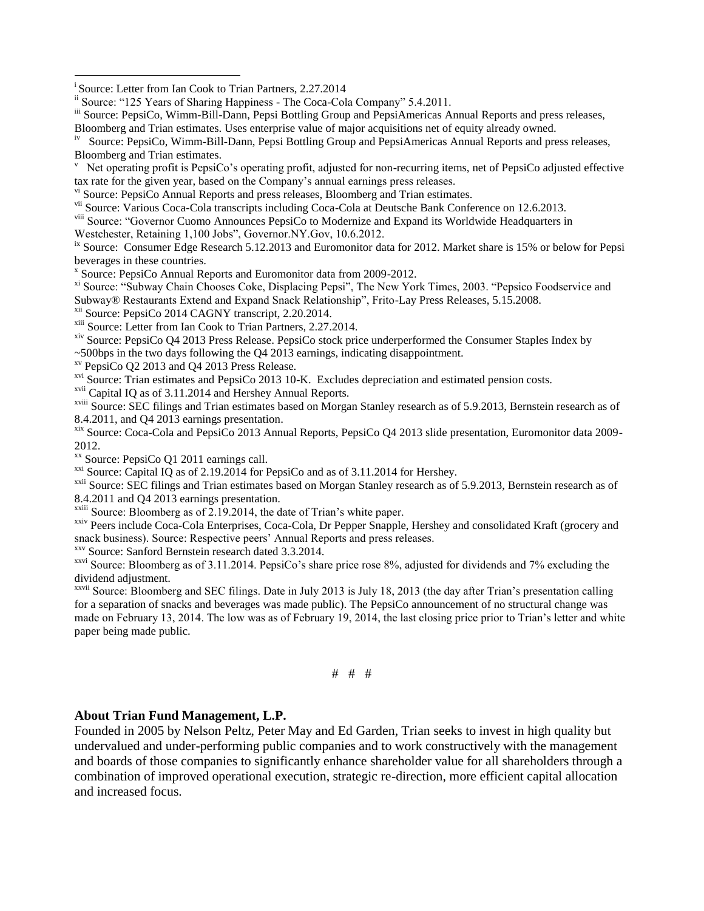<sup>i</sup> Source: Letter from Ian Cook to Trian Partners, 2.27.2014

 $\overline{a}$ 

ii Source: "125 Years of Sharing Happiness - The Coca-Cola Company" 5.4.2011.

- iii Source: PepsiCo, Wimm-Bill-Dann, Pepsi Bottling Group and PepsiAmericas Annual Reports and press releases, Bloomberg and Trian estimates. Uses enterprise value of major acquisitions net of equity already owned.
- iv Source: PepsiCo, Wimm-Bill-Dann, Pepsi Bottling Group and PepsiAmericas Annual Reports and press releases, Bloomberg and Trian estimates.
- v Net operating profit is PepsiCo's operating profit, adjusted for non-recurring items, net of PepsiCo adjusted effective tax rate for the given year, based on the Company's annual earnings press releases.
- v<sup>i</sup> Source: PepsiCo Annual Reports and press releases, Bloomberg and Trian estimates.
- vii Source: Various Coca-Cola transcripts including Coca-Cola at Deutsche Bank Conference on 12.6.2013.
- viii Source: "Governor Cuomo Announces PepsiCo to Modernize and Expand its Worldwide Headquarters in
- Westchester, Retaining 1,100 Jobs", Governor.NY.Gov, 10.6.2012.
- <sup>ix</sup> Source: Consumer Edge Research 5.12.2013 and Euromonitor data for 2012. Market share is 15% or below for Pepsi beverages in these countries.
- x Source: PepsiCo Annual Reports and Euromonitor data from 2009-2012.
- xi Source: "Subway Chain Chooses Coke, Displacing Pepsi", The New York Times, 2003. "Pepsico Foodservice and Subway® Restaurants Extend and Expand Snack Relationship", Frito-Lay Press Releases, 5.15.2008.
- 
- <sup>xii</sup> Source: PepsiCo 2014 CAGNY transcript, 2.20.2014.
- <sup>xiii</sup> Source: Letter from Ian Cook to Trian Partners, 2.27.2014.
- xiv Source: PepsiCo Q4 2013 Press Release. PepsiCo stock price underperformed the Consumer Staples Index by
- ~500bps in the two days following the Q4 2013 earnings, indicating disappointment.
- xv PepsiCo Q2 2013 and Q4 2013 Press Release.
- <sup>xvi</sup> Source: Trian estimates and PepsiCo 2013 10-K. Excludes depreciation and estimated pension costs.
- xvii Capital IQ as of 3.11.2014 and Hershey Annual Reports.
- $\frac{x}{y}$  Source: SEC filings and Trian estimates based on Morgan Stanley research as of 5.9.2013, Bernstein research as of 8.4.2011, and Q4 2013 earnings presentation.
- xix Source: Coca-Cola and PepsiCo 2013 Annual Reports, PepsiCo Q4 2013 slide presentation, Euromonitor data 2009- 2012.
- xx Source: PepsiCo Q1 2011 earnings call.
- <sup>xxi</sup> Source: Capital IQ as of 2.19.2014 for PepsiCo and as of 3.11.2014 for Hershey.
- $\frac{x}{x}$  Source: SEC filings and Trian estimates based on Morgan Stanley research as of 5.9.2013, Bernstein research as of 8.4.2011 and Q4 2013 earnings presentation.
- $x$ <sup>xxiii</sup> Source: Bloomberg as of 2.19.2014, the date of Trian's white paper.
- xxiv Peers include Coca-Cola Enterprises, Coca-Cola, Dr Pepper Snapple, Hershey and consolidated Kraft (grocery and snack business). Source: Respective peers' Annual Reports and press releases.
- xxv Source: Sanford Bernstein research dated 3.3.2014.
- <sup>xxvi</sup> Source: Bloomberg as of 3.11.2014. PepsiCo's share price rose  $8\%$ , adjusted for dividends and 7% excluding the dividend adjustment.
- xxvii Source: Bloomberg and SEC filings. Date in July 2013 is July 18, 2013 (the day after Trian's presentation calling for a separation of snacks and beverages was made public). The PepsiCo announcement of no structural change was made on February 13, 2014. The low was as of February 19, 2014, the last closing price prior to Trian's letter and white paper being made public.

$$
\# \quad \# \quad \#
$$

#### **About Trian Fund Management, L.P.**

Founded in 2005 by Nelson Peltz, Peter May and Ed Garden, Trian seeks to invest in high quality but undervalued and under-performing public companies and to work constructively with the management and boards of those companies to significantly enhance shareholder value for all shareholders through a combination of improved operational execution, strategic re-direction, more efficient capital allocation and increased focus.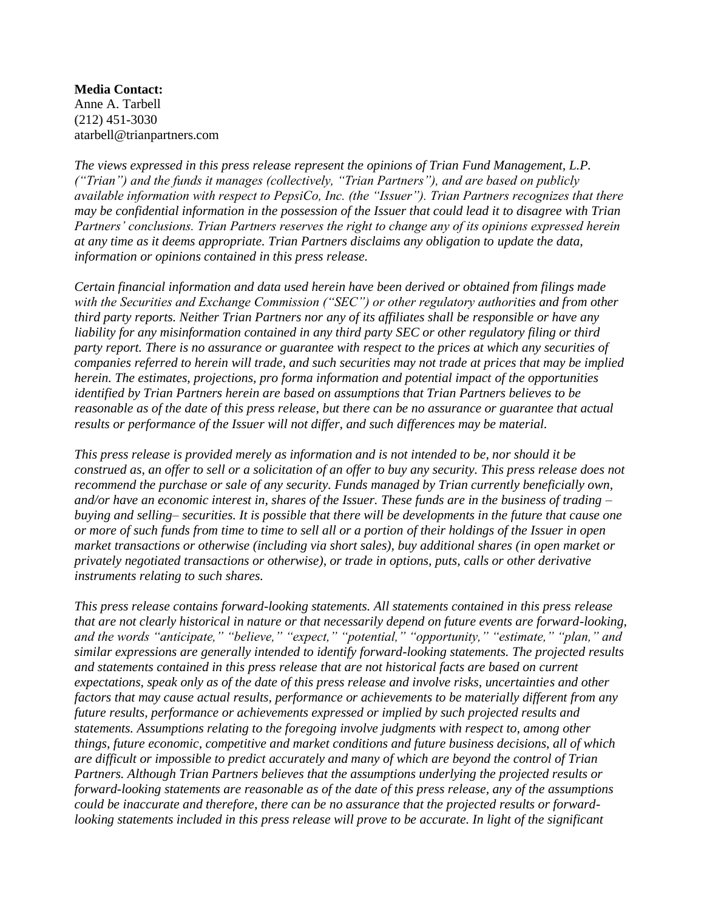**Media Contact:** Anne A. Tarbell (212) 451-3030 atarbell@trianpartners.com

*The views expressed in this press release represent the opinions of Trian Fund Management, L.P. ("Trian") and the funds it manages (collectively, "Trian Partners"), and are based on publicly available information with respect to PepsiCo, Inc. (the "Issuer"). Trian Partners recognizes that there may be confidential information in the possession of the Issuer that could lead it to disagree with Trian Partners' conclusions. Trian Partners reserves the right to change any of its opinions expressed herein at any time as it deems appropriate. Trian Partners disclaims any obligation to update the data, information or opinions contained in this press release.* 

*Certain financial information and data used herein have been derived or obtained from filings made with the Securities and Exchange Commission ("SEC") or other regulatory authorities and from other third party reports. Neither Trian Partners nor any of its affiliates shall be responsible or have any liability for any misinformation contained in any third party SEC or other regulatory filing or third party report. There is no assurance or guarantee with respect to the prices at which any securities of companies referred to herein will trade, and such securities may not trade at prices that may be implied herein. The estimates, projections, pro forma information and potential impact of the opportunities identified by Trian Partners herein are based on assumptions that Trian Partners believes to be reasonable as of the date of this press release, but there can be no assurance or guarantee that actual results or performance of the Issuer will not differ, and such differences may be material.* 

*This press release is provided merely as information and is not intended to be, nor should it be construed as, an offer to sell or a solicitation of an offer to buy any security. This press release does not recommend the purchase or sale of any security. Funds managed by Trian currently beneficially own, and/or have an economic interest in, shares of the Issuer. These funds are in the business of trading – buying and selling– securities. It is possible that there will be developments in the future that cause one or more of such funds from time to time to sell all or a portion of their holdings of the Issuer in open market transactions or otherwise (including via short sales), buy additional shares (in open market or privately negotiated transactions or otherwise), or trade in options, puts, calls or other derivative instruments relating to such shares.* 

*This press release contains forward-looking statements. All statements contained in this press release that are not clearly historical in nature or that necessarily depend on future events are forward-looking, and the words "anticipate," "believe," "expect," "potential," "opportunity," "estimate," "plan," and similar expressions are generally intended to identify forward-looking statements. The projected results and statements contained in this press release that are not historical facts are based on current expectations, speak only as of the date of this press release and involve risks, uncertainties and other factors that may cause actual results, performance or achievements to be materially different from any future results, performance or achievements expressed or implied by such projected results and statements. Assumptions relating to the foregoing involve judgments with respect to, among other things, future economic, competitive and market conditions and future business decisions, all of which are difficult or impossible to predict accurately and many of which are beyond the control of Trian Partners. Although Trian Partners believes that the assumptions underlying the projected results or forward-looking statements are reasonable as of the date of this press release, any of the assumptions could be inaccurate and therefore, there can be no assurance that the projected results or forwardlooking statements included in this press release will prove to be accurate. In light of the significant*